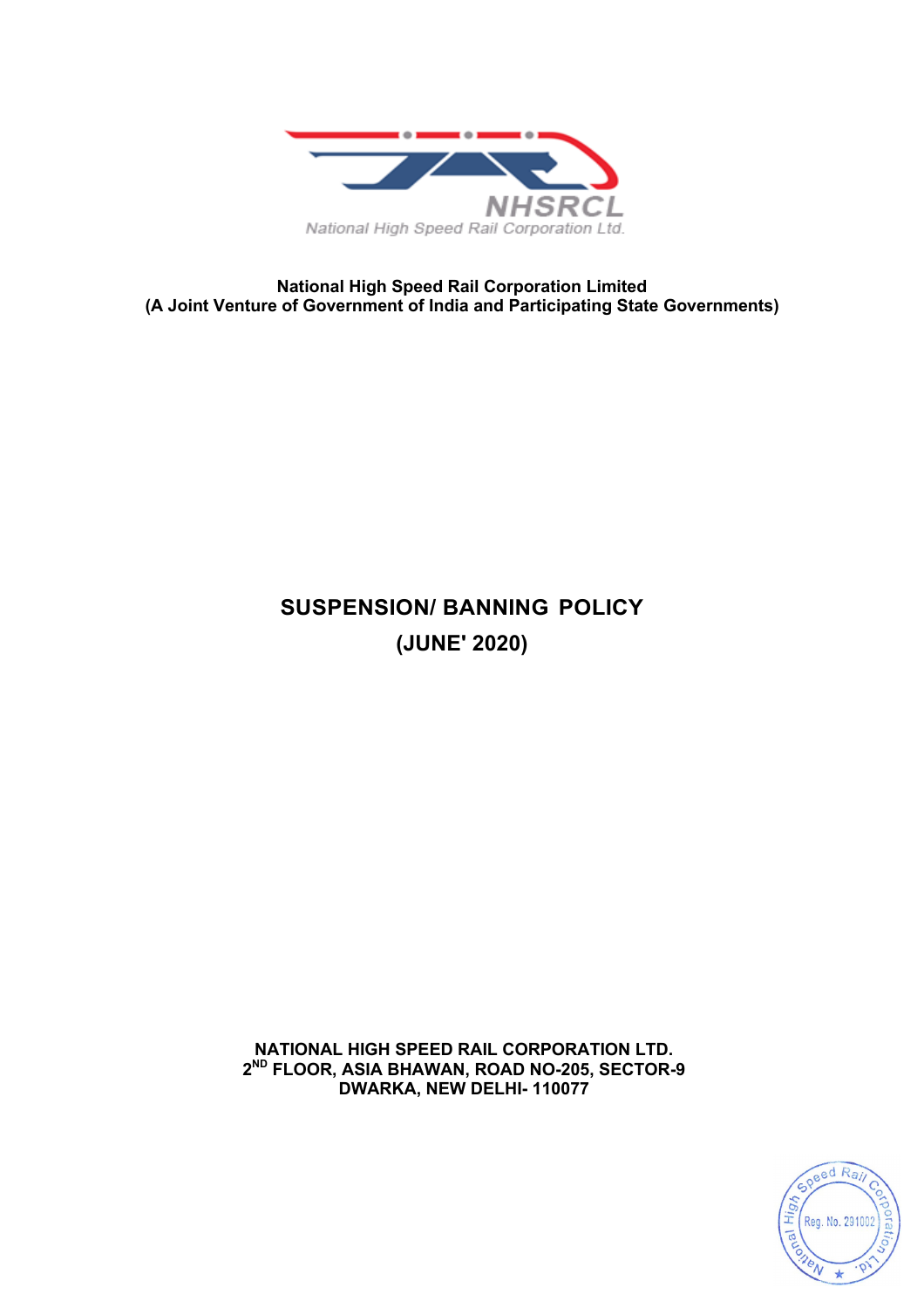

**National High Speed Rail Corporation Limited (A Joint Venture of Government of India and Participating State Governments)**

# **SUSPENSION/ BANNING POLICY (JUNE' 2020)**

**NATIONAL HIGH SPEED RAIL CORPORATION LTD. 2ND FLOOR, ASIA BHAWAN, ROAD NO-205, SECTOR-9 DWARKA, NEW DELHI- 110077**

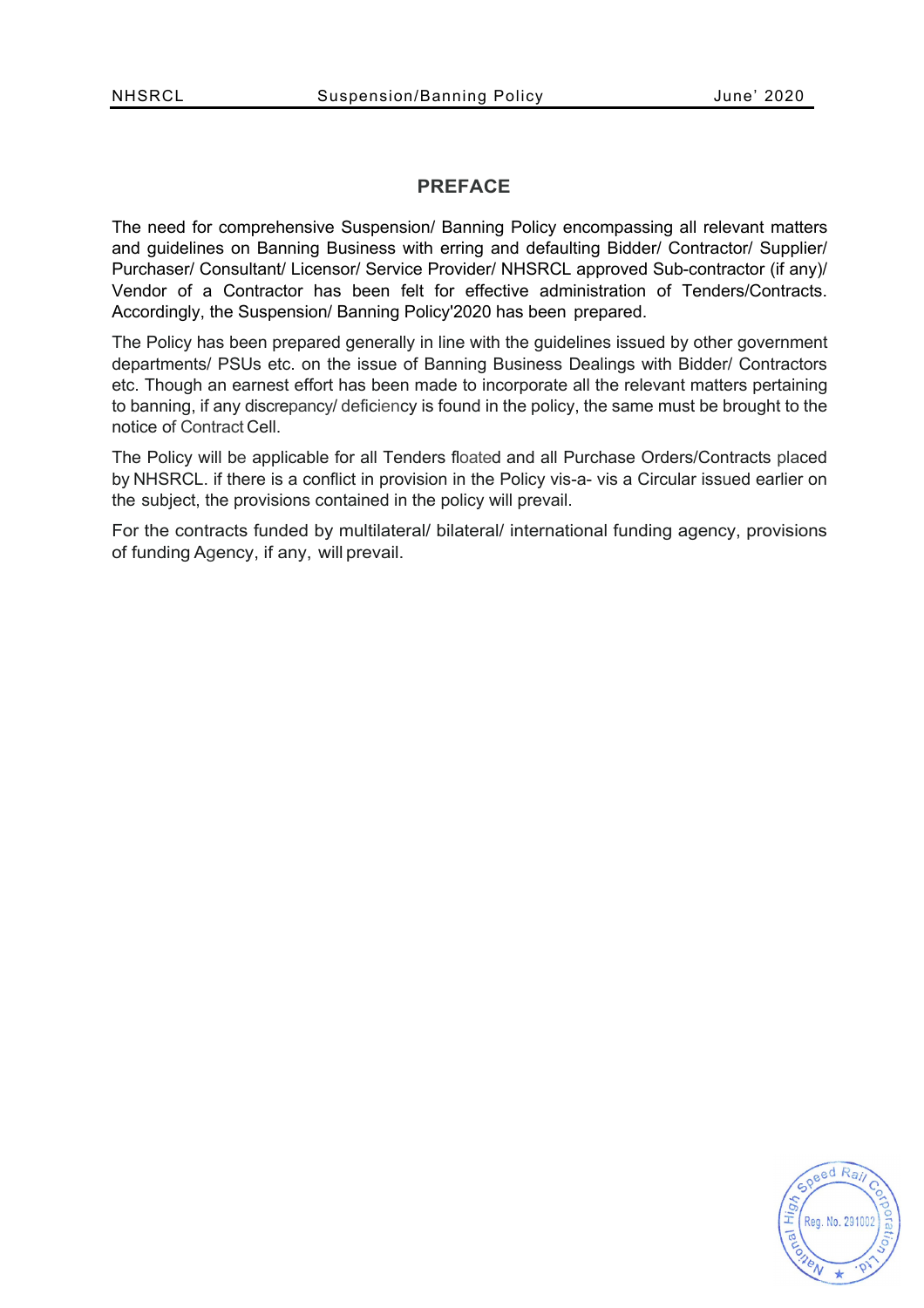#### **PREFACE**

The need for comprehensive Suspension/ Banning Policy encompassing all relevant matters and guidelines on Banning Business with erring and defaulting Bidder/ Contractor/ Supplier/ Purchaser/ Consultant/ Licensor/ Service Provider/ NHSRCL approved Sub-contractor (if any)/ Vendor of a Contractor has been felt for effective administration of Tenders/Contracts. Accordingly, the Suspension/ Banning Policy'2020 has been prepared.

The Policy has been prepared generally in line with the guidelines issued by other government departments/ PSUs etc. on the issue of Banning Business Dealings with Bidder/ Contractors etc. Though an earnest effort has been made to incorporate all the relevant matters pertaining to banning, if any discrepancy/ deficiency is found in the policy, the same must be brought to the notice of Contract Cell.

The Policy will be applicable for all Tenders floated and all Purchase Orders/Contracts placed by NHSRCL. if there is a conflict in provision in the Policy vis-a- vis a Circular issued earlier on the subject, the provisions contained in the policy will prevail.

For the contracts funded by multilateral/ bilateral/ international funding agency, provisions of funding Agency, if any, will prevail.

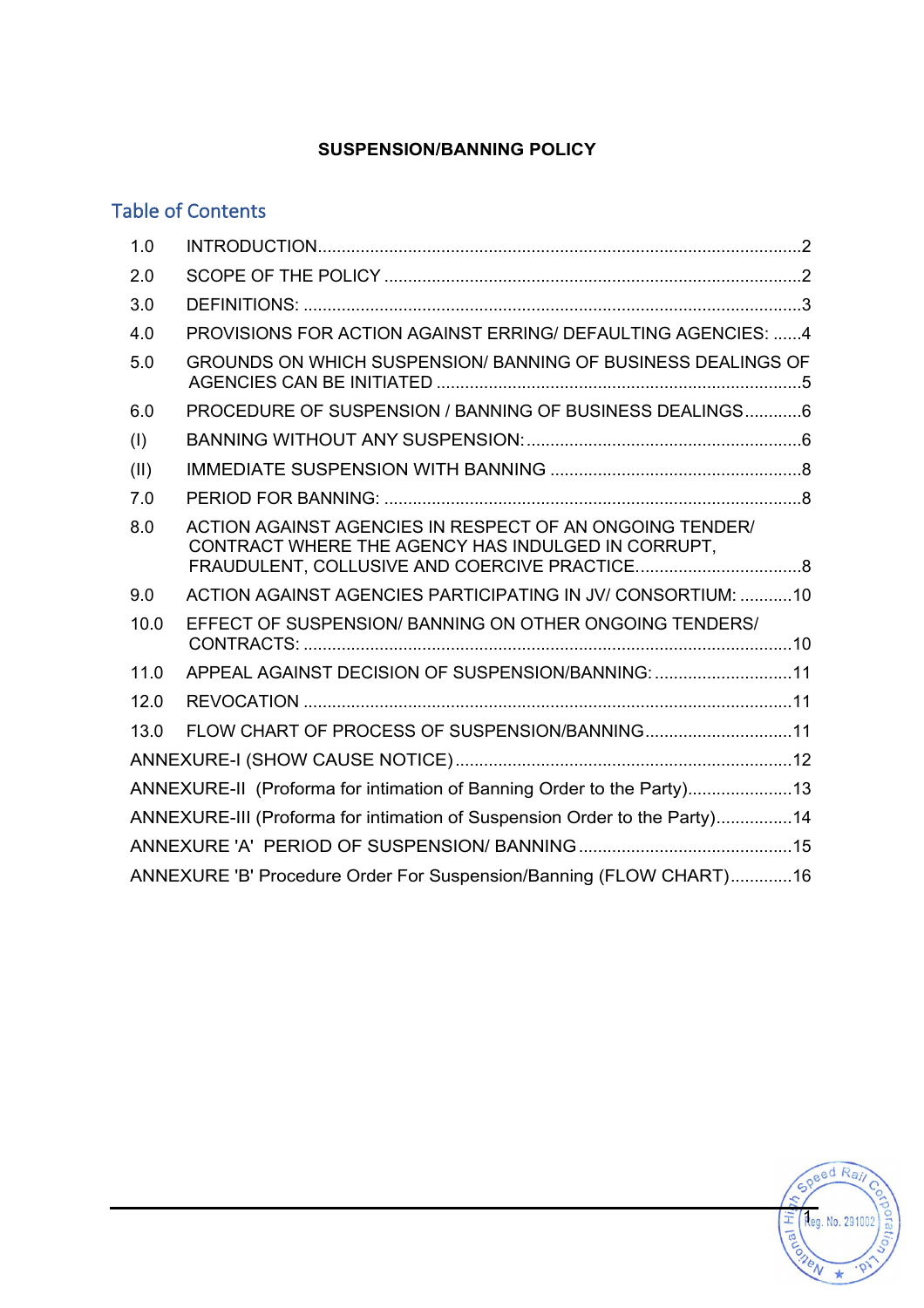## **SUSPENSION/BANNING POLICY**

## Table of Contents

| 1.0                                                                       |                                                                                                                |  |  |  |
|---------------------------------------------------------------------------|----------------------------------------------------------------------------------------------------------------|--|--|--|
| 2.0                                                                       |                                                                                                                |  |  |  |
| 3.0                                                                       |                                                                                                                |  |  |  |
| 4.0                                                                       | PROVISIONS FOR ACTION AGAINST ERRING/ DEFAULTING AGENCIES: 4                                                   |  |  |  |
| 5.0                                                                       | GROUNDS ON WHICH SUSPENSION/ BANNING OF BUSINESS DEALINGS OF                                                   |  |  |  |
| 6.0                                                                       | PROCEDURE OF SUSPENSION / BANNING OF BUSINESS DEALINGS 6                                                       |  |  |  |
| (1)                                                                       |                                                                                                                |  |  |  |
| (II)                                                                      |                                                                                                                |  |  |  |
| 7.0                                                                       |                                                                                                                |  |  |  |
| 8.0                                                                       | ACTION AGAINST AGENCIES IN RESPECT OF AN ONGOING TENDER/<br>CONTRACT WHERE THE AGENCY HAS INDULGED IN CORRUPT, |  |  |  |
| 9.0                                                                       | ACTION AGAINST AGENCIES PARTICIPATING IN JV/ CONSORTIUM: 10                                                    |  |  |  |
| 10.0                                                                      | EFFECT OF SUSPENSION/BANNING ON OTHER ONGOING TENDERS/                                                         |  |  |  |
| 11.0                                                                      | APPEAL AGAINST DECISION OF SUSPENSION/BANNING: 11                                                              |  |  |  |
| 12.0                                                                      |                                                                                                                |  |  |  |
| 13.0                                                                      | FLOW CHART OF PROCESS OF SUSPENSION/BANNING11                                                                  |  |  |  |
|                                                                           |                                                                                                                |  |  |  |
| ANNEXURE-II (Proforma for intimation of Banning Order to the Party)13     |                                                                                                                |  |  |  |
| ANNEXURE-III (Proforma for intimation of Suspension Order to the Party)14 |                                                                                                                |  |  |  |
|                                                                           |                                                                                                                |  |  |  |
| ANNEXURE 'B' Procedure Order For Suspension/Banning (FLOW CHART)16        |                                                                                                                |  |  |  |

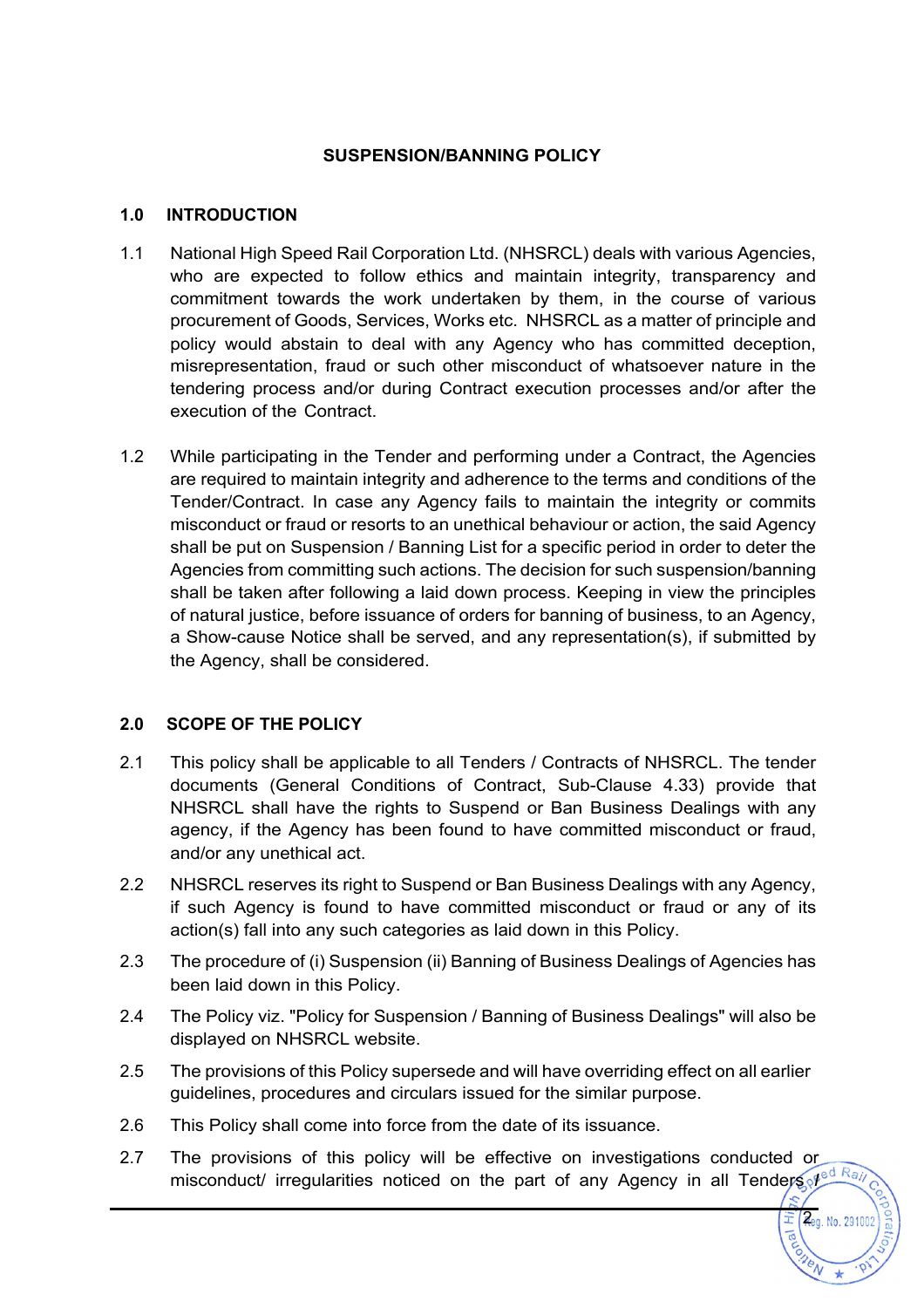#### **SUSPENSION/BANNING POLICY**

#### **1.0 INTRODUCTION**

- 1.1 National High Speed Rail Corporation Ltd. (NHSRCL) deals with various Agencies, who are expected to follow ethics and maintain integrity, transparency and commitment towards the work undertaken by them, in the course of various procurement of Goods, Services, Works etc. NHSRCL as a matter of principle and policy would abstain to deal with any Agency who has committed deception, misrepresentation, fraud or such other misconduct of whatsoever nature in the tendering process and/or during Contract execution processes and/or after the execution of the Contract.
- 1.2 While participating in the Tender and performing under a Contract, the Agencies are required to maintain integrity and adherence to the terms and conditions of the Tender/Contract. In case any Agency fails to maintain the integrity or commits misconduct or fraud or resorts to an unethical behaviour or action, the said Agency shall be put on Suspension / Banning List for a specific period in order to deter the Agencies from committing such actions. The decision for such suspension/banning shall be taken after following a laid down process. Keeping in view the principles of natural justice, before issuance of orders for banning of business, to an Agency, a Show-cause Notice shall be served, and any representation(s), if submitted by the Agency, shall be considered.

### **2.0 SCOPE OF THE POLICY**

- 2.1 This policy shall be applicable to all Tenders / Contracts of NHSRCL. The tender documents (General Conditions of Contract, Sub-Clause 4.33) provide that NHSRCL shall have the rights to Suspend or Ban Business Dealings with any agency, if the Agency has been found to have committed misconduct or fraud, and/or any unethical act.
- 2.2 NHSRCL reserves its right to Suspend or Ban Business Dealings with any Agency, if such Agency is found to have committed misconduct or fraud or any of its action(s) fall into any such categories as laid down in this Policy.
- 2.3 The procedure of (i) Suspension (ii) Banning of Business Dealings of Agencies has been laid down in this Policy.
- 2.4 The Policy viz. "Policy for Suspension / Banning of Business Dealings" will also be displayed on NHSRCL website.
- 2.5 The provisions of this Policy supersede and will have overriding effect on all earlier guidelines, procedures and circulars issued for the similar purpose.
- 2.6 This Policy shall come into force from the date of its issuance.
- 2.7 The provisions of this policy will be effective on investigations conducted or misconduct/ irregularities noticed on the part of any Agency in all Tenders *I*<sup>ed Rai</sup>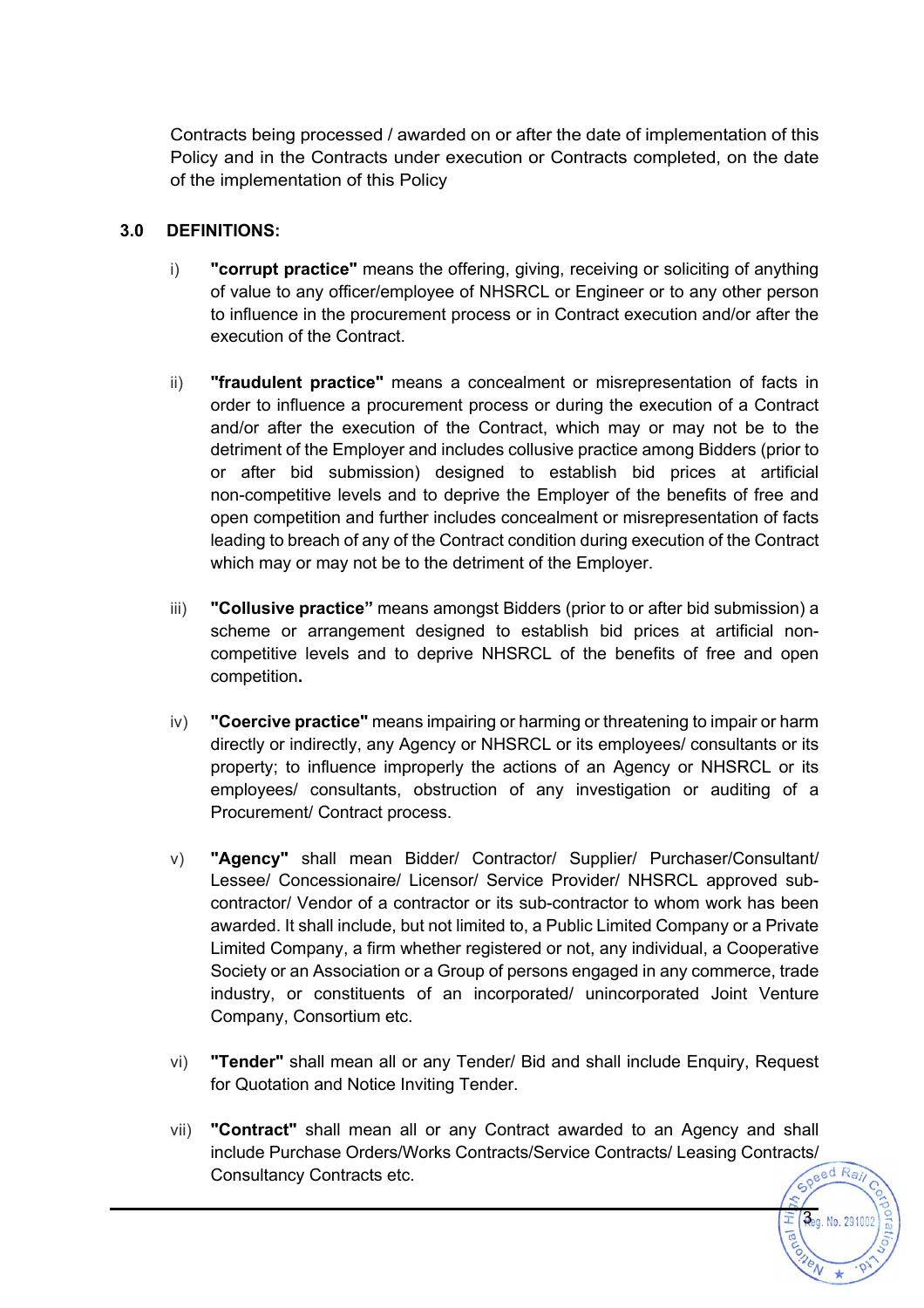Contracts being processed / awarded on or after the date of implementation of this Policy and in the Contracts under execution or Contracts completed, on the date of the implementation of this Policy

### **3.0 DEFINITIONS:**

- i) **"corrupt practice"** means the offering, giving, receiving or soliciting of anything of value to any officer/employee of NHSRCL or Engineer or to any other person to influence in the procurement process or in Contract execution and/or after the execution of the Contract.
- ii) **"fraudulent practice"** means a concealment or misrepresentation of facts in order to influence a procurement process or during the execution of a Contract and/or after the execution of the Contract, which may or may not be to the detriment of the Employer and includes collusive practice among Bidders (prior to or after bid submission) designed to establish bid prices at artificial non-competitive levels and to deprive the Employer of the benefits of free and open competition and further includes concealment or misrepresentation of facts leading to breach of any of the Contract condition during execution of the Contract which may or may not be to the detriment of the Employer.
- iii) **"Collusive practice"** means amongst Bidders (prior to or after bid submission) a scheme or arrangement designed to establish bid prices at artificial noncompetitive levels and to deprive NHSRCL of the benefits of free and open competition**.**
- iv) **"Coercive practice"** means impairing or harming or threatening to impair or harm directly or indirectly, any Agency or NHSRCL or its employees/ consultants or its property; to influence improperly the actions of an Agency or NHSRCL or its employees/ consultants, obstruction of any investigation or auditing of a Procurement/ Contract process.
- v) **"Agency"** shall mean Bidder/ Contractor/ Supplier/ Purchaser/Consultant/ Lessee/ Concessionaire/ Licensor/ Service Provider/ NHSRCL approved subcontractor/ Vendor of a contractor or its sub-contractor to whom work has been awarded. It shall include, but not limited to, a Public Limited Company or a Private Limited Company, a firm whether registered or not, any individual, a Cooperative Society or an Association or a Group of persons engaged in any commerce, trade industry, or constituents of an incorporated/ unincorporated Joint Venture Company, Consortium etc.
- vi) **"Tender"** shall mean all or any Tender/ Bid and shall include Enquiry, Request for Quotation and Notice Inviting Tender.
- vii) **"Contract"** shall mean all or any Contract awarded to an Agency and shall include Purchase Orders/Works Contracts/Service Contracts/ Leasing Contracts/ Consultancy Contracts etc.

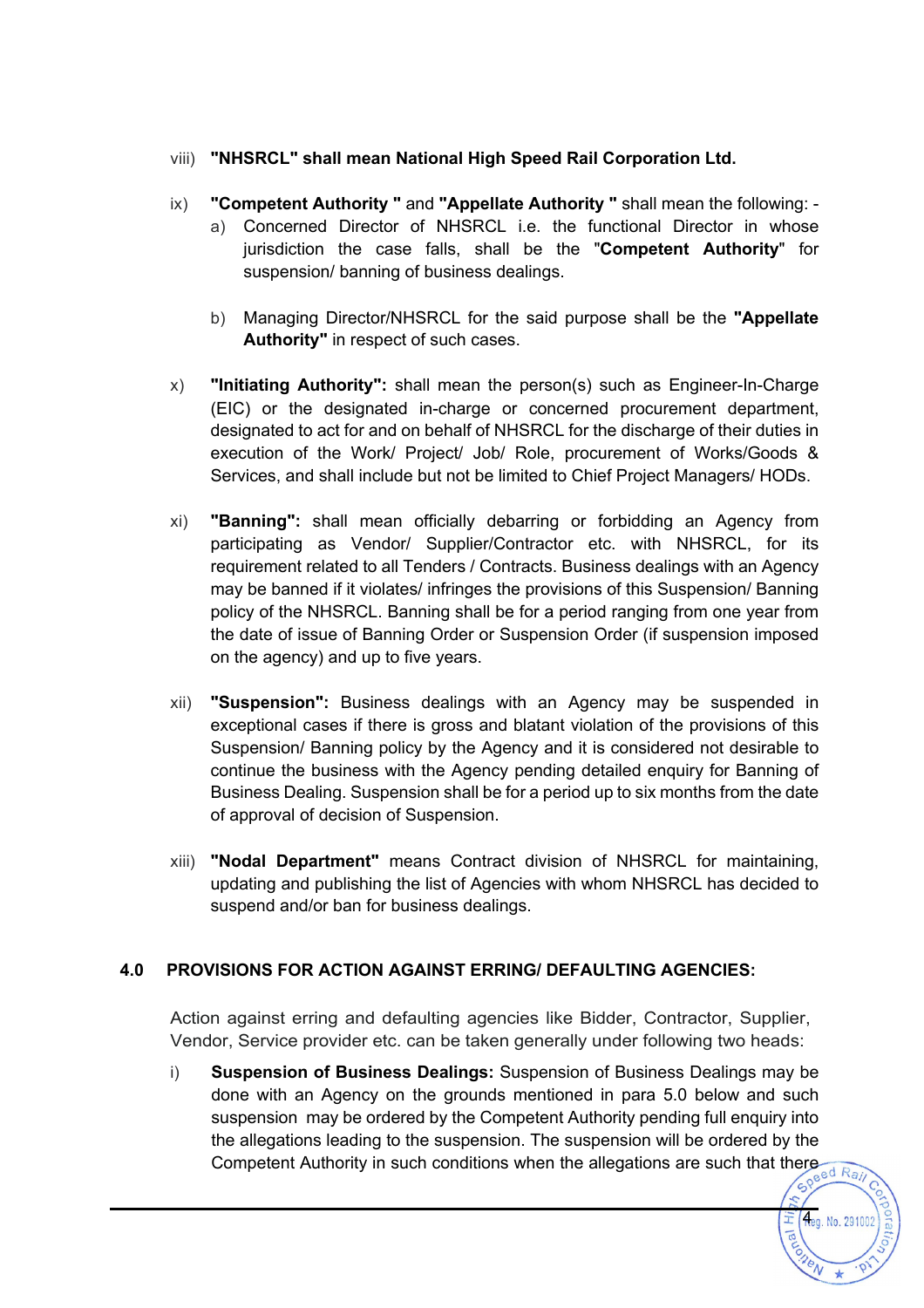## viii) **"NHSRCL" shall mean National High Speed Rail Corporation Ltd.**

- ix) **"Competent Authority "** and **"Appellate Authority "** shall mean the following:
	- a) Concerned Director of NHSRCL i.e. the functional Director in whose jurisdiction the case falls, shall be the "**Competent Authority**" for suspension/ banning of business dealings.
	- b) Managing Director/NHSRCL for the said purpose shall be the **"Appellate Authority"** in respect of such cases.
- x) **"Initiating Authority":** shall mean the person(s) such as Engineer-In-Charge (EIC) or the designated in-charge or concerned procurement department, designated to act for and on behalf of NHSRCL for the discharge of their duties in execution of the Work/ Project/ Job/ Role, procurement of Works/Goods & Services, and shall include but not be limited to Chief Project Managers/ HODs.
- xi) **"Banning":** shall mean officially debarring or forbidding an Agency from participating as Vendor/ Supplier/Contractor etc. with NHSRCL, for its requirement related to all Tenders / Contracts. Business dealings with an Agency may be banned if it violates/ infringes the provisions of this Suspension/ Banning policy of the NHSRCL. Banning shall be for a period ranging from one year from the date of issue of Banning Order or Suspension Order (if suspension imposed on the agency) and up to five years.
- xii) **"Suspension":** Business dealings with an Agency may be suspended in exceptional cases if there is gross and blatant violation of the provisions of this Suspension/ Banning policy by the Agency and it is considered not desirable to continue the business with the Agency pending detailed enquiry for Banning of Business Dealing. Suspension shall be for a period up to six months from the date of approval of decision of Suspension.
- xiii) **"Nodal Department"** means Contract division of NHSRCL for maintaining, updating and publishing the list of Agencies with whom NHSRCL has decided to suspend and/or ban for business dealings.

## **4.0 PROVISIONS FOR ACTION AGAINST ERRING/ DEFAULTING AGENCIES:**

Action against erring and defaulting agencies like Bidder, Contractor, Supplier, Vendor, Service provider etc. can be taken generally under following two heads:

i) **Suspension of Business Dealings:** Suspension of Business Dealings may be done with an Agency on the grounds mentioned in para 5.0 below and such suspension may be ordered by the Competent Authority pending full enquiry into the allegations leading to the suspension. The suspension will be ordered by the Competent Authority in such conditions when the allegations are such that there are  $\frac{1}{\sqrt{e^{e^{d}R_{aj}}}}$ 

**fleg. No. 2910**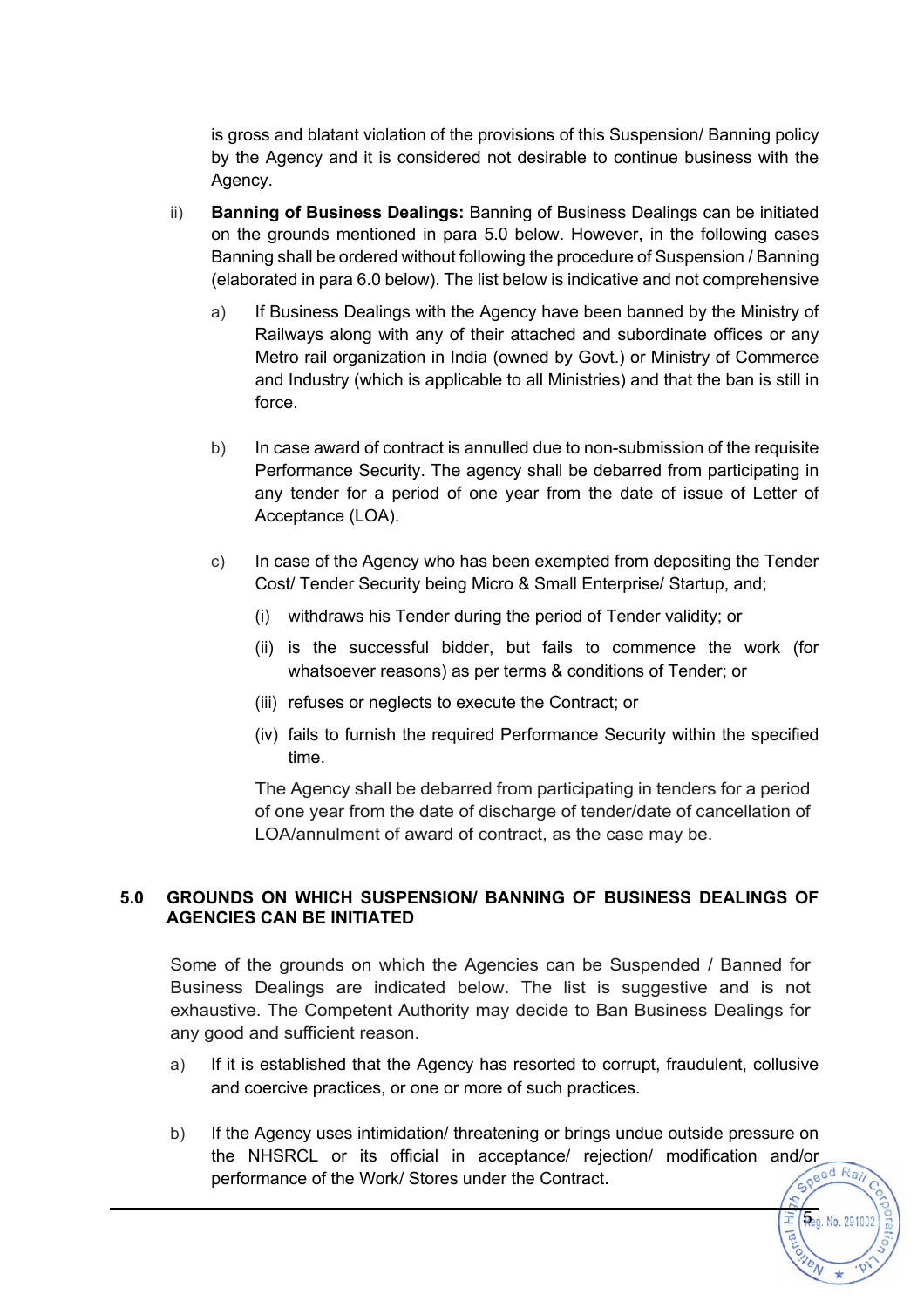is gross and blatant violation of the provisions of this Suspension/ Banning policy by the Agency and it is considered not desirable to continue business with the Agency.

- ii) **Banning of Business Dealings:** Banning of Business Dealings can be initiated on the grounds mentioned in para 5.0 below. However, in the following cases Banning shall be ordered without following the procedure of Suspension / Banning (elaborated in para 6.0 below). The list below is indicative and not comprehensive
	- a) If Business Dealings with the Agency have been banned by the Ministry of Railways along with any of their attached and subordinate offices or any Metro rail organization in India (owned by Govt.) or Ministry of Commerce and Industry (which is applicable to all Ministries) and that the ban is still in force.
	- b) In case award of contract is annulled due to non-submission of the requisite Performance Security. The agency shall be debarred from participating in any tender for a period of one year from the date of issue of Letter of Acceptance (LOA).
	- c) In case of the Agency who has been exempted from depositing the Tender Cost/ Tender Security being Micro & Small Enterprise/ Startup, and;
		- (i) withdraws his Tender during the period of Tender validity; or
		- (ii) is the successful bidder, but fails to commence the work (for whatsoever reasons) as per terms & conditions of Tender; or
		- (iii) refuses or neglects to execute the Contract; or
		- (iv) fails to furnish the required Performance Security within the specified time.

The Agency shall be debarred from participating in tenders for a period of one year from the date of discharge of tender/date of cancellation of LOA/annulment of award of contract, as the case may be.

#### **5.0 GROUNDS ON WHICH SUSPENSION/ BANNING OF BUSINESS DEALINGS OF AGENCIES CAN BE INITIATED**

Some of the grounds on which the Agencies can be Suspended / Banned for Business Dealings are indicated below. The list is suggestive and is not exhaustive. The Competent Authority may decide to Ban Business Dealings for any good and sufficient reason.

- a) If it is established that the Agency has resorted to corrupt, fraudulent, collusive and coercive practices, or one or more of such practices.
- b) If the Agency uses intimidation/ threatening or brings undue outside pressure on the NHSRCL or its official in acceptance/ rejection/ modification and/or performance of the Work/ Stores under the Contract performance of the Work/ Stores under the Contract.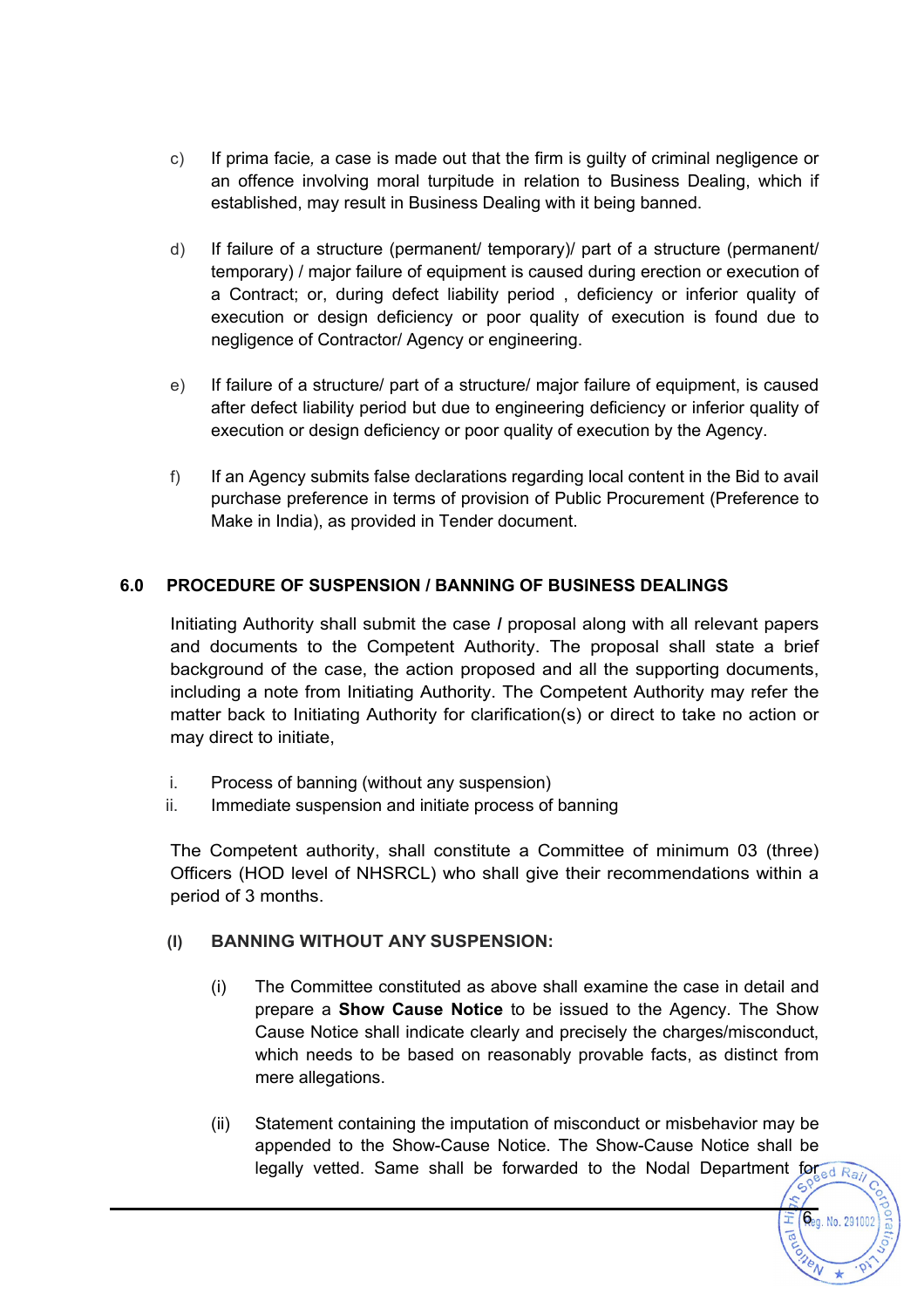- c) If prima facie*,* a case is made out that the firm is guilty of criminal negligence or an offence involving moral turpitude in relation to Business Dealing, which if established, may result in Business Dealing with it being banned.
- d) If failure of a structure (permanent/ temporary)/ part of a structure (permanent/ temporary) / major failure of equipment is caused during erection or execution of a Contract; or, during defect liability period , deficiency or inferior quality of execution or design deficiency or poor quality of execution is found due to negligence of Contractor/ Agency or engineering.
- e) If failure of a structure/ part of a structure/ major failure of equipment, is caused after defect liability period but due to engineering deficiency or inferior quality of execution or design deficiency or poor quality of execution by the Agency.
- f) If an Agency submits false declarations regarding local content in the Bid to avail purchase preference in terms of provision of Public Procurement (Preference to Make in India), as provided in Tender document.

## **6.0 PROCEDURE OF SUSPENSION / BANNING OF BUSINESS DEALINGS**

Initiating Authority shall submit the case *I* proposal along with all relevant papers and documents to the Competent Authority. The proposal shall state a brief background of the case, the action proposed and all the supporting documents, including a note from Initiating Authority. The Competent Authority may refer the matter back to Initiating Authority for clarification(s) or direct to take no action or may direct to initiate,

- i. Process of banning (without any suspension)
- ii. Immediate suspension and initiate process of banning

The Competent authority, shall constitute a Committee of minimum 03 (three) Officers (HOD level of NHSRCL) who shall give their recommendations within a period of 3 months.

### **(I) BANNING WITHOUT ANY SUSPENSION:**

- (i) The Committee constituted as above shall examine the case in detail and prepare a **Show Cause Notice** to be issued to the Agency. The Show Cause Notice shall indicate clearly and precisely the charges/misconduct, which needs to be based on reasonably provable facts, as distinct from mere allegations.
- (ii) Statement containing the imputation of misconduct or misbehavior may be appended to the Show-Cause Notice. The Show-Cause Notice shall be legally vetted. Same shall be forwarded to the Nodal Department for  $\frac{1}{\log_{e} d R_{q}}$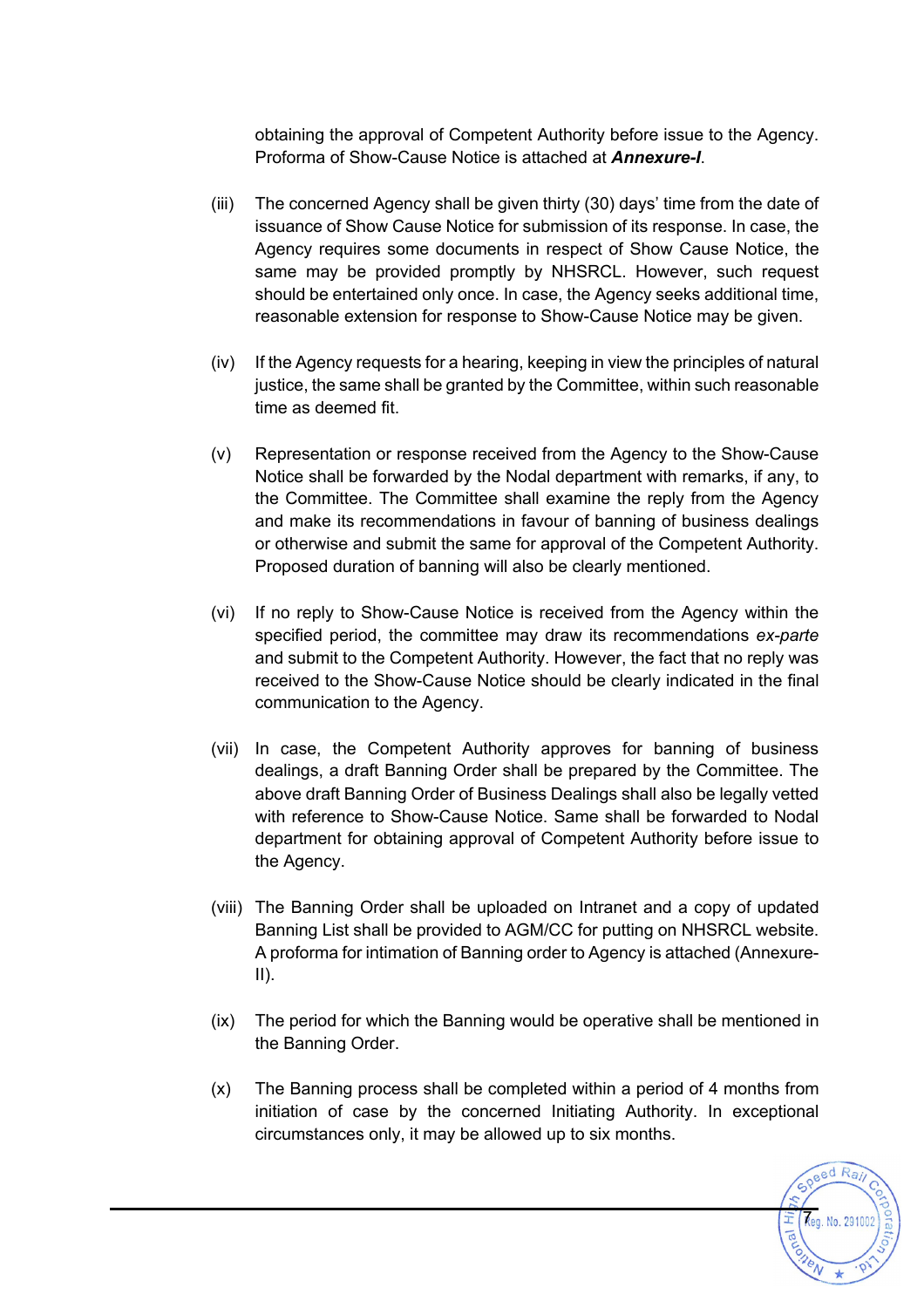obtaining the approval of Competent Authority before issue to the Agency. Proforma of Show-Cause Notice is attached at *Annexure-I*.

- (iii) The concerned Agency shall be given thirty (30) days' time from the date of issuance of Show Cause Notice for submission of its response. In case, the Agency requires some documents in respect of Show Cause Notice, the same may be provided promptly by NHSRCL. However, such request should be entertained only once. In case, the Agency seeks additional time, reasonable extension for response to Show-Cause Notice may be given.
- (iv) If the Agency requests for a hearing, keeping in view the principles of natural justice, the same shall be granted by the Committee, within such reasonable time as deemed fit.
- (v) Representation or response received from the Agency to the Show-Cause Notice shall be forwarded by the Nodal department with remarks, if any, to the Committee. The Committee shall examine the reply from the Agency and make its recommendations in favour of banning of business dealings or otherwise and submit the same for approval of the Competent Authority. Proposed duration of banning will also be clearly mentioned.
- (vi) If no reply to Show-Cause Notice is received from the Agency within the specified period, the committee may draw its recommendations *ex-parte* and submit to the Competent Authority. However, the fact that no reply was received to the Show-Cause Notice should be clearly indicated in the final communication to the Agency.
- (vii) In case, the Competent Authority approves for banning of business dealings, a draft Banning Order shall be prepared by the Committee. The above draft Banning Order of Business Dealings shall also be legally vetted with reference to Show-Cause Notice. Same shall be forwarded to Nodal department for obtaining approval of Competent Authority before issue to the Agency.
- (viii) The Banning Order shall be uploaded on Intranet and a copy of updated Banning List shall be provided to AGM/CC for putting on NHSRCL website. A proforma for intimation of Banning order to Agency is attached (Annexure- $II$ ).
- (ix) The period for which the Banning would be operative shall be mentioned in the Banning Order.
- (x) The Banning process shall be completed within a period of 4 months from initiation of case by the concerned Initiating Authority. In exceptional circumstances only, it may be allowed up to six months.

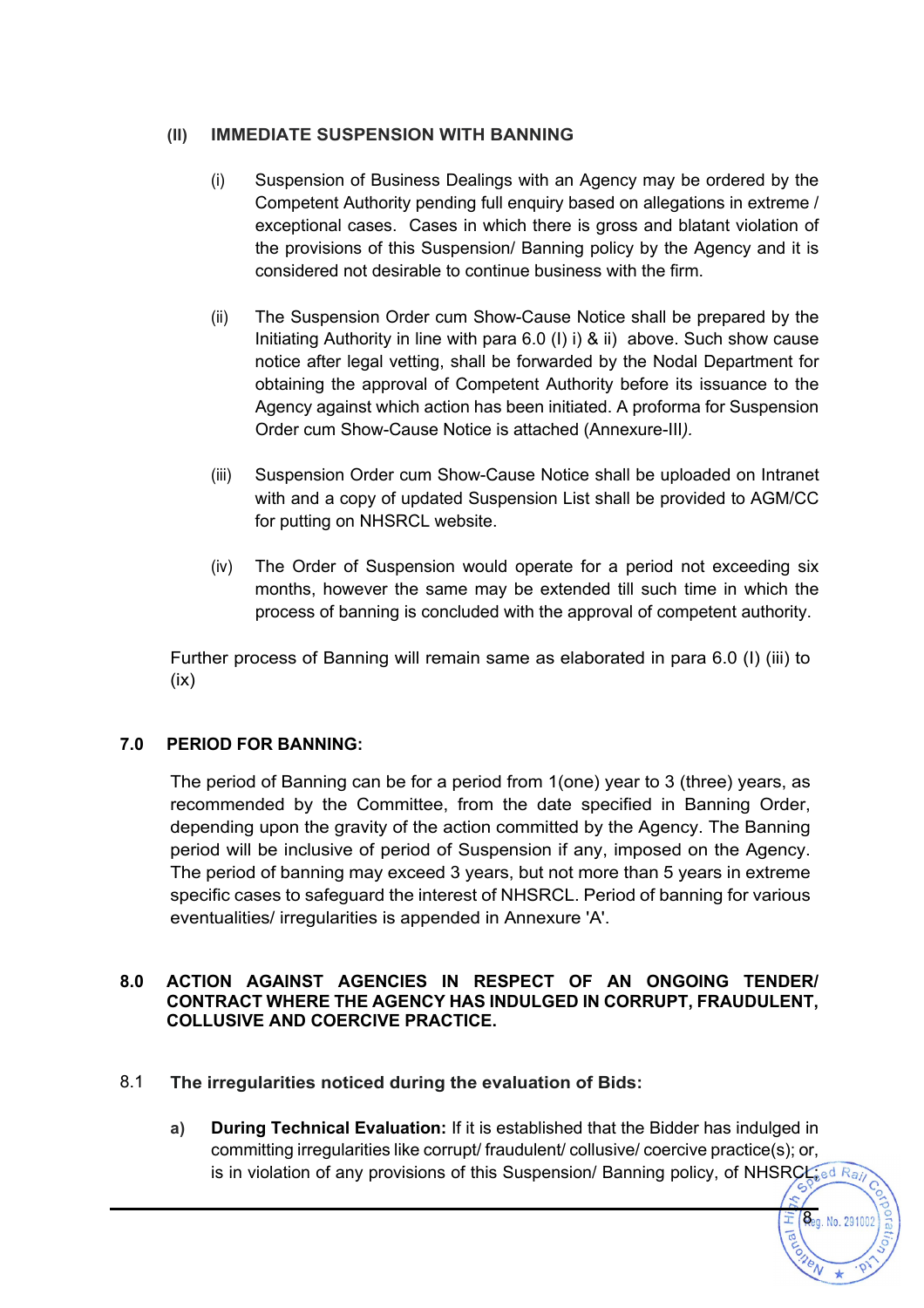#### **(II) IMMEDIATE SUSPENSION WITH BANNING**

- (i) Suspension of Business Dealings with an Agency may be ordered by the Competent Authority pending full enquiry based on allegations in extreme / exceptional cases. Cases in which there is gross and blatant violation of the provisions of this Suspension/ Banning policy by the Agency and it is considered not desirable to continue business with the firm.
- (ii) The Suspension Order cum Show-Cause Notice shall be prepared by the Initiating Authority in line with para  $6.0$  (I) i) & ii) above. Such show cause notice after legal vetting, shall be forwarded by the Nodal Department for obtaining the approval of Competent Authority before its issuance to the Agency against which action has been initiated. A proforma for Suspension Order cum Show-Cause Notice is attached (Annexure-III*).*
- (iii) Suspension Order cum Show-Cause Notice shall be uploaded on Intranet with and a copy of updated Suspension List shall be provided to AGM/CC for putting on NHSRCL website.
- (iv) The Order of Suspension would operate for a period not exceeding six months, however the same may be extended till such time in which the process of banning is concluded with the approval of competent authority.

Further process of Banning will remain same as elaborated in para 6.0 (I) (iii) to  $(ix)$ 

### **7.0 PERIOD FOR BANNING:**

The period of Banning can be for a period from 1(one) year to 3 (three) years, as recommended by the Committee, from the date specified in Banning Order, depending upon the gravity of the action committed by the Agency. The Banning period will be inclusive of period of Suspension if any, imposed on the Agency. The period of banning may exceed 3 years, but not more than 5 years in extreme specific cases to safeguard the interest of NHSRCL. Period of banning for various eventualities/ irregularities is appended in Annexure 'A'.

#### **8.0 ACTION AGAINST AGENCIES IN RESPECT OF AN ONGOING TENDER/ CONTRACT WHERE THE AGENCY HAS INDULGED IN CORRUPT, FRAUDULENT, COLLUSIVE AND COERCIVE PRACTICE.**

### 8.1 **The irregularities noticed during the evaluation of Bids:**

**a) During Technical Evaluation:** If it is established that the Bidder has indulged in committing irregularities like corrupt/ fraudulent/ collusive/ coercive practice(s); or, is in violation of any provisions of this Suspension/ Banning policy, of NHSRCL; ed  $R_{q}$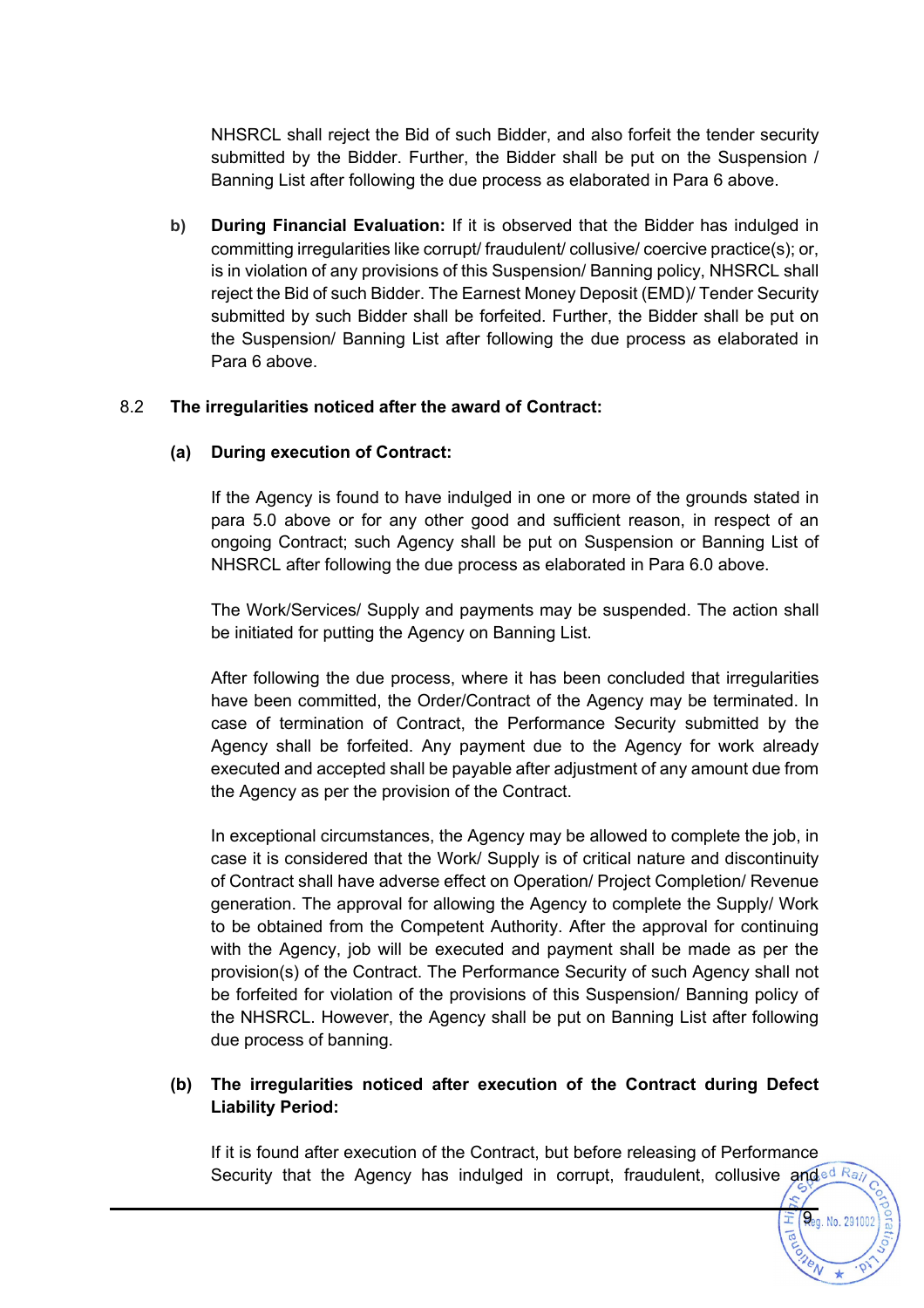NHSRCL shall reject the Bid of such Bidder, and also forfeit the tender security submitted by the Bidder. Further, the Bidder shall be put on the Suspension / Banning List after following the due process as elaborated in Para 6 above.

**b) During Financial Evaluation:** If it is observed that the Bidder has indulged in committing irregularities like corrupt/ fraudulent/ collusive/ coercive practice(s); or, is in violation of any provisions of this Suspension/ Banning policy, NHSRCL shall reject the Bid of such Bidder. The Earnest Money Deposit (EMD)/ Tender Security submitted by such Bidder shall be forfeited. Further, the Bidder shall be put on the Suspension/ Banning List after following the due process as elaborated in Para 6 above.

#### 8.2 **The irregularities noticed after the award of Contract:**

#### **(a) During execution of Contract:**

If the Agency is found to have indulged in one or more of the grounds stated in para 5.0 above or for any other good and sufficient reason, in respect of an ongoing Contract; such Agency shall be put on Suspension or Banning List of NHSRCL after following the due process as elaborated in Para 6.0 above.

The Work/Services/ Supply and payments may be suspended. The action shall be initiated for putting the Agency on Banning List.

After following the due process, where it has been concluded that irregularities have been committed, the Order/Contract of the Agency may be terminated. In case of termination of Contract, the Performance Security submitted by the Agency shall be forfeited. Any payment due to the Agency for work already executed and accepted shall be payable after adjustment of any amount due from the Agency as per the provision of the Contract.

In exceptional circumstances, the Agency may be allowed to complete the job, in case it is considered that the Work/ Supply is of critical nature and discontinuity of Contract shall have adverse effect on Operation/ Project Completion/ Revenue generation. The approval for allowing the Agency to complete the Supply/ Work to be obtained from the Competent Authority. After the approval for continuing with the Agency, job will be executed and payment shall be made as per the provision(s) of the Contract. The Performance Security of such Agency shall not be forfeited for violation of the provisions of this Suspension/ Banning policy of the NHSRCL. However, the Agency shall be put on Banning List after following due process of banning.

### **(b) The irregularities noticed after execution of the Contract during Defect Liability Period:**

If it is found after execution of the Contract, but before releasing of Performance Security that the Agency has indulged in corrupt, fraudulent, collusive and  $\frac{d}{d}Ra$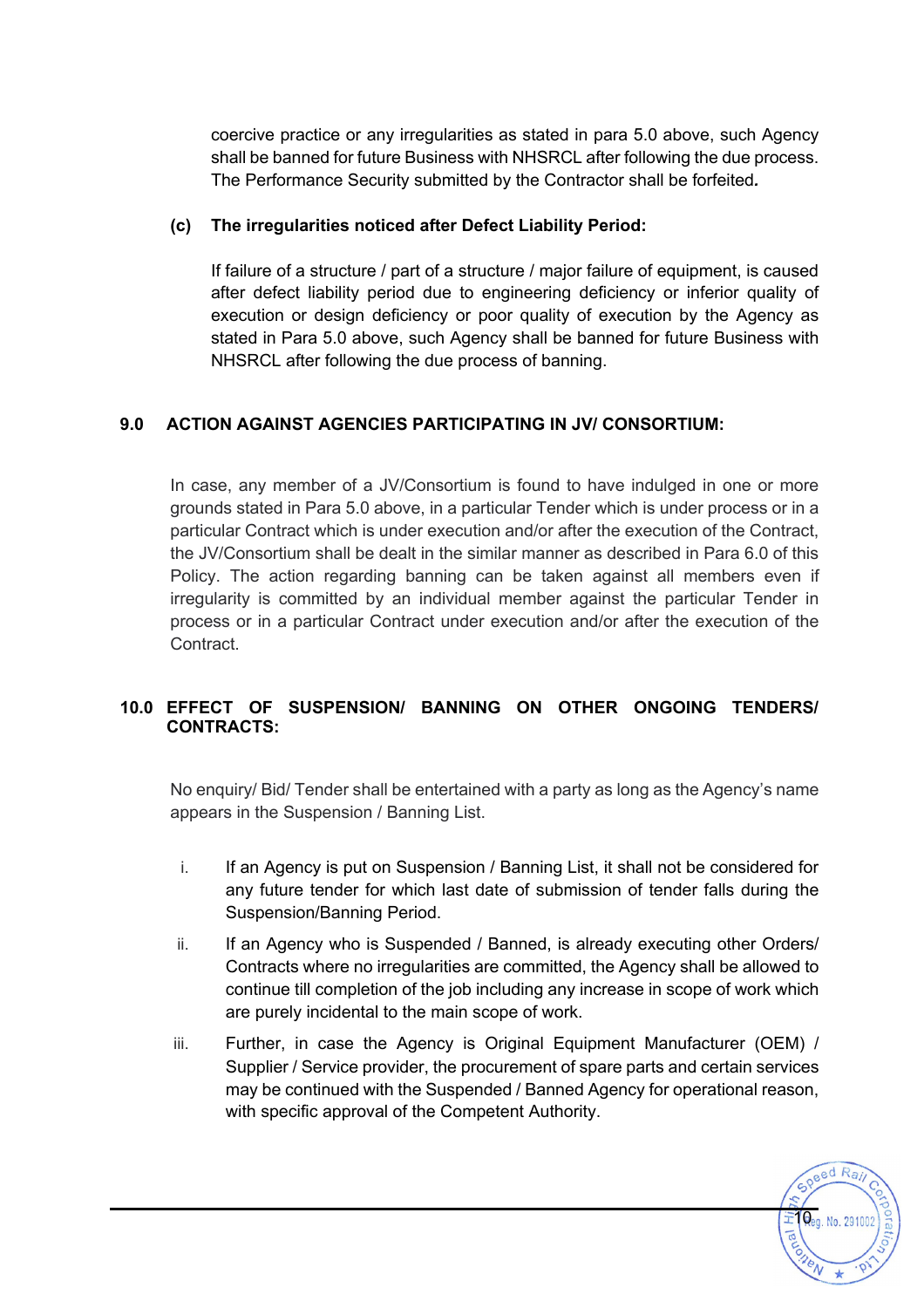coercive practice or any irregularities as stated in para 5.0 above, such Agency shall be banned for future Business with NHSRCL after following the due process. The Performance Security submitted by the Contractor shall be forfeited*.*

#### **(c) The irregularities noticed after Defect Liability Period:**

If failure of a structure / part of a structure / major failure of equipment, is caused after defect liability period due to engineering deficiency or inferior quality of execution or design deficiency or poor quality of execution by the Agency as stated in Para 5.0 above, such Agency shall be banned for future Business with NHSRCL after following the due process of banning.

## **9.0 ACTION AGAINST AGENCIES PARTICIPATING IN JV/ CONSORTIUM:**

In case, any member of a JV/Consortium is found to have indulged in one or more grounds stated in Para 5.0 above, in a particular Tender which is under process or in a particular Contract which is under execution and/or after the execution of the Contract, the JV/Consortium shall be dealt in the similar manner as described in Para 6.0 of this Policy. The action regarding banning can be taken against all members even if irregularity is committed by an individual member against the particular Tender in process or in a particular Contract under execution and/or after the execution of the Contract.

### **10.0 EFFECT OF SUSPENSION/ BANNING ON OTHER ONGOING TENDERS/ CONTRACTS:**

No enquiry/ Bid/ Tender shall be entertained with a party as long as the Agency's name appears in the Suspension / Banning List.

- i. If an Agency is put on Suspension / Banning List, it shall not be considered for any future tender for which last date of submission of tender falls during the Suspension/Banning Period.
- ii. If an Agency who is Suspended / Banned, is already executing other Orders/ Contracts where no irregularities are committed, the Agency shall be allowed to continue till completion of the job including any increase in scope of work which are purely incidental to the main scope of work.
- iii. Further, in case the Agency is Original Equipment Manufacturer (OEM) / Supplier / Service provider, the procurement of spare parts and certain services may be continued with the Suspended / Banned Agency for operational reason, with specific approval of the Competent Authority.

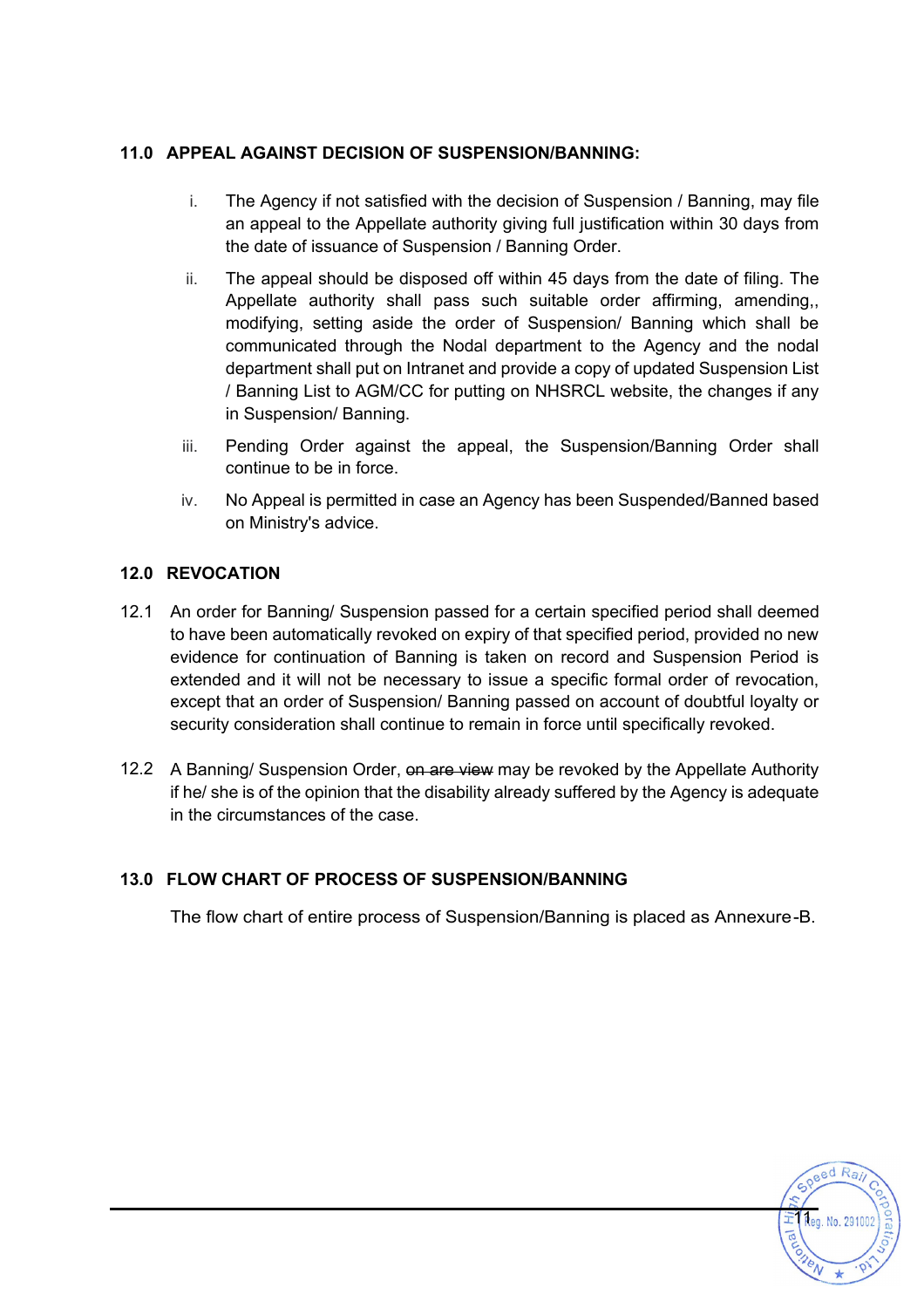## **11.0 APPEAL AGAINST DECISION OF SUSPENSION/BANNING:**

- i. The Agency if not satisfied with the decision of Suspension / Banning, may file an appeal to the Appellate authority giving full justification within 30 days from the date of issuance of Suspension / Banning Order.
- ii. The appeal should be disposed off within 45 days from the date of filing. The Appellate authority shall pass such suitable order affirming, amending,, modifying, setting aside the order of Suspension/ Banning which shall be communicated through the Nodal department to the Agency and the nodal department shall put on Intranet and provide a copy of updated Suspension List / Banning List to AGM/CC for putting on NHSRCL website, the changes if any in Suspension/ Banning.
- iii. Pending Order against the appeal, the Suspension/Banning Order shall continue to be in force.
- iv. No Appeal is permitted in case an Agency has been Suspended/Banned based on Ministry's advice.

## **12.0 REVOCATION**

- 12.1 An order for Banning/ Suspension passed for a certain specified period shall deemed to have been automatically revoked on expiry of that specified period, provided no new evidence for continuation of Banning is taken on record and Suspension Period is extended and it will not be necessary to issue a specific formal order of revocation, except that an order of Suspension/ Banning passed on account of doubtful loyalty or security consideration shall continue to remain in force until specifically revoked.
- 12.2 A Banning/ Suspension Order, on are view may be revoked by the Appellate Authority if he/ she is of the opinion that the disability already suffered by the Agency is adequate in the circumstances of the case.

## **13.0 FLOW CHART OF PROCESS OF SUSPENSION/BANNING**

The flow chart of entire process of Suspension/Banning is placed as Annexure-B.

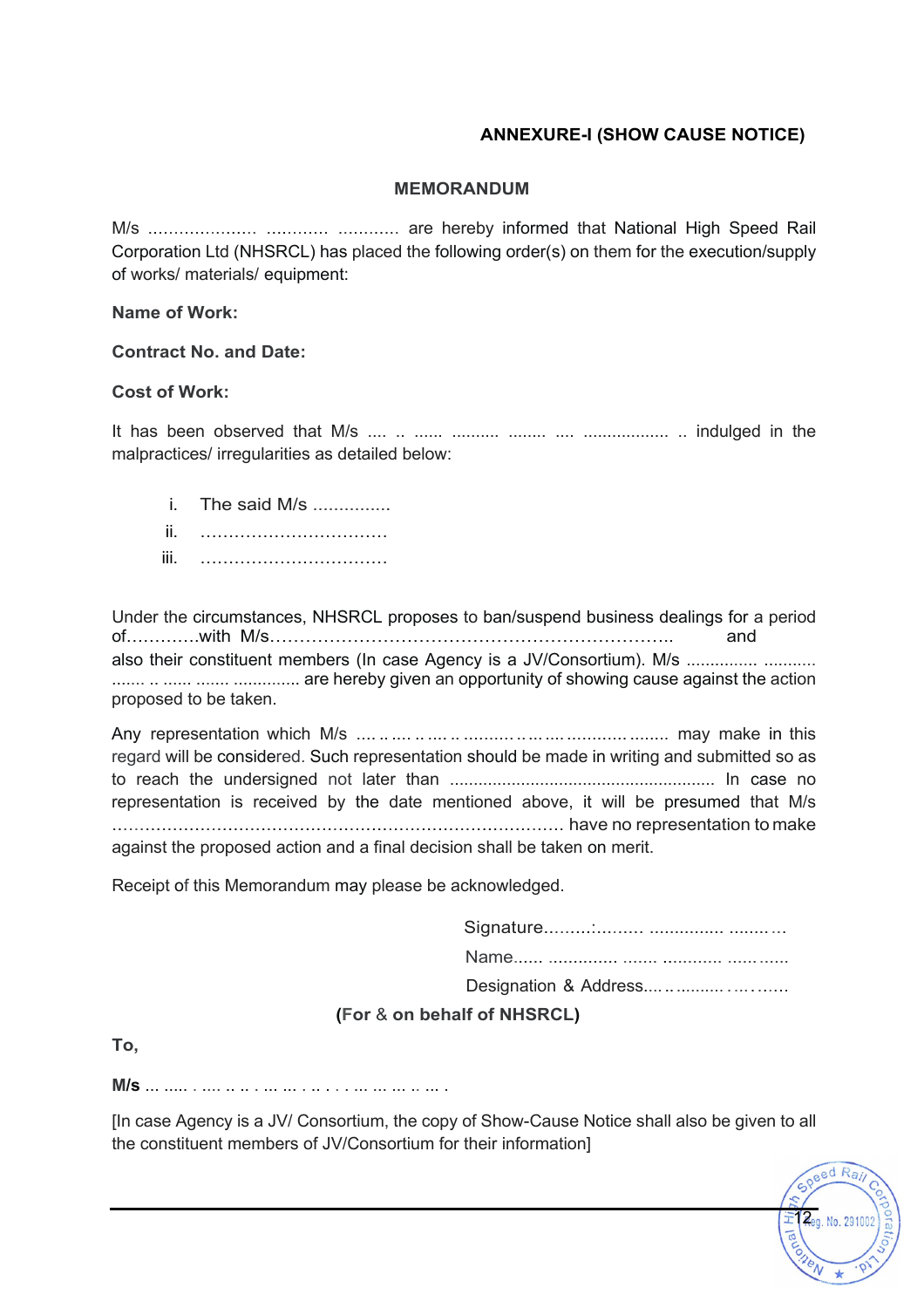## **ANNEXURE-I (SHOW CAUSE NOTICE)**

#### **MEMORANDUM**

M/s ..................... ............ ............ are hereby informed that National High Speed Rail Corporation Ltd (NHSRCL) has placed the following order(s) on them for the execution/supply of works/ materials/ equipment:

#### **Name of Work:**

#### **Contract No. and Date:**

#### **Cost of Work:**

It has been observed that M/s .... .. ...... .......... ........ .... .................. .. indulged in the malpractices/ irregularities as detailed below:

i The said M/s ii. …………………………… iii. ……………………………

Under the circumstances, NHSRCL proposes to ban/suspend business dealings for a period of………….with M/s………………………………………………………….. and also their constituent members (In case Agency is a JV/Consortium). M/s ................ ........... ....... .. ...... ....... .............. are hereby given an opportunity of showing cause against the action proposed to be taken.

Any representation which M/s .... .. .... .. .... .. .......... ..... .... ............ ........ may make in this regard will be considered. Such representation should be made in writing and submitted so as to reach the undersigned not later than ........................................................ In case no representation is received by the date mentioned above, it will be presumed that M/s .................................................................................. have no representation to make against the proposed action and a final decision shall be taken on merit.

Receipt of this Memorandum may please be acknowledged.

| (For & on behalf of NHSRCL) |  |  |  |  |
|-----------------------------|--|--|--|--|

**To,**

**M/s** ... ..... . .... .. .. . ... ... . .. . . . ... ... ... .. ... .

[In case Agency is a JV/ Consortium, the copy of Show-Cause Notice shall also be given to all the constituent members of JV/Consortium for their information]

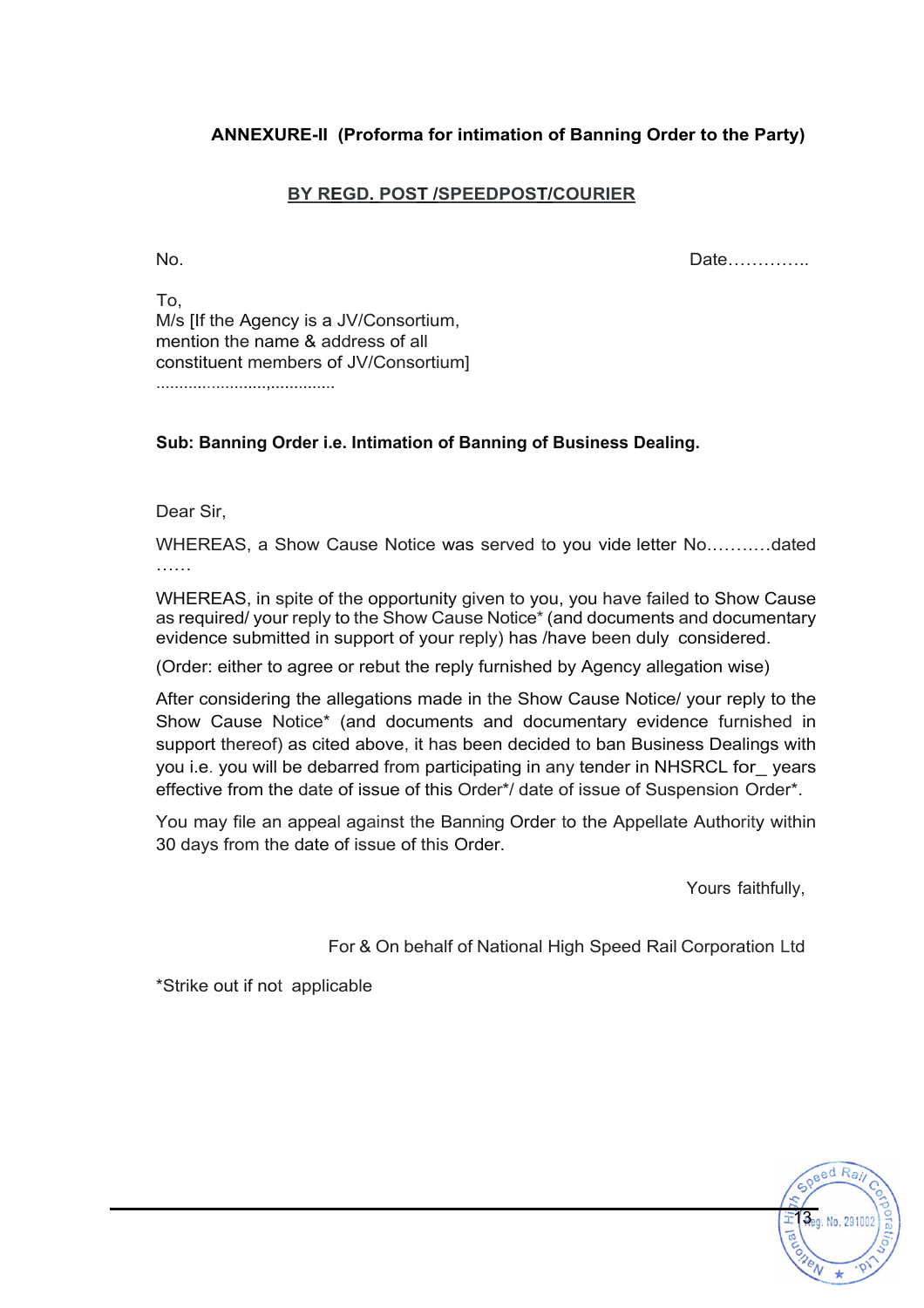## **ANNEXURE-II (Proforma for intimation of Banning Order to the Party)**

## **BY REGD. POST /SPEEDPOST/COURIER**

No. Date…………..

To, M/s [If the Agency is a JV/Consortium, mention the name & address of all constituent members of JV/Consortium]

........................,..............

#### **Sub: Banning Order i.e. Intimation of Banning of Business Dealing.**

Dear Sir,

WHEREAS, a Show Cause Notice was served to you vide letter No.…….…dated ……

WHEREAS, in spite of the opportunity given to you, you have failed to Show Cause as required/ your reply to the Show Cause Notice\* (and documents and documentary evidence submitted in support of your reply) has /have been duly considered.

(Order: either to agree or rebut the reply furnished by Agency allegation wise)

After considering the allegations made in the Show Cause Notice/ your reply to the Show Cause Notice\* (and documents and documentary evidence furnished in support thereof) as cited above, it has been decided to ban Business Dealings with you i.e. you will be debarred from participating in any tender in NHSRCL for\_ years effective from the date of issue of this Order\*/ date of issue of Suspension Order\*.

You may file an appeal against the Banning Order to the Appellate Authority within 30 days from the date of issue of this Order.

Yours faithfully,

Reg. No. 2910

 $odR<sub>2</sub>$ 

For & On behalf of National High Speed Rail Corporation Ltd

\*Strike out if not applicable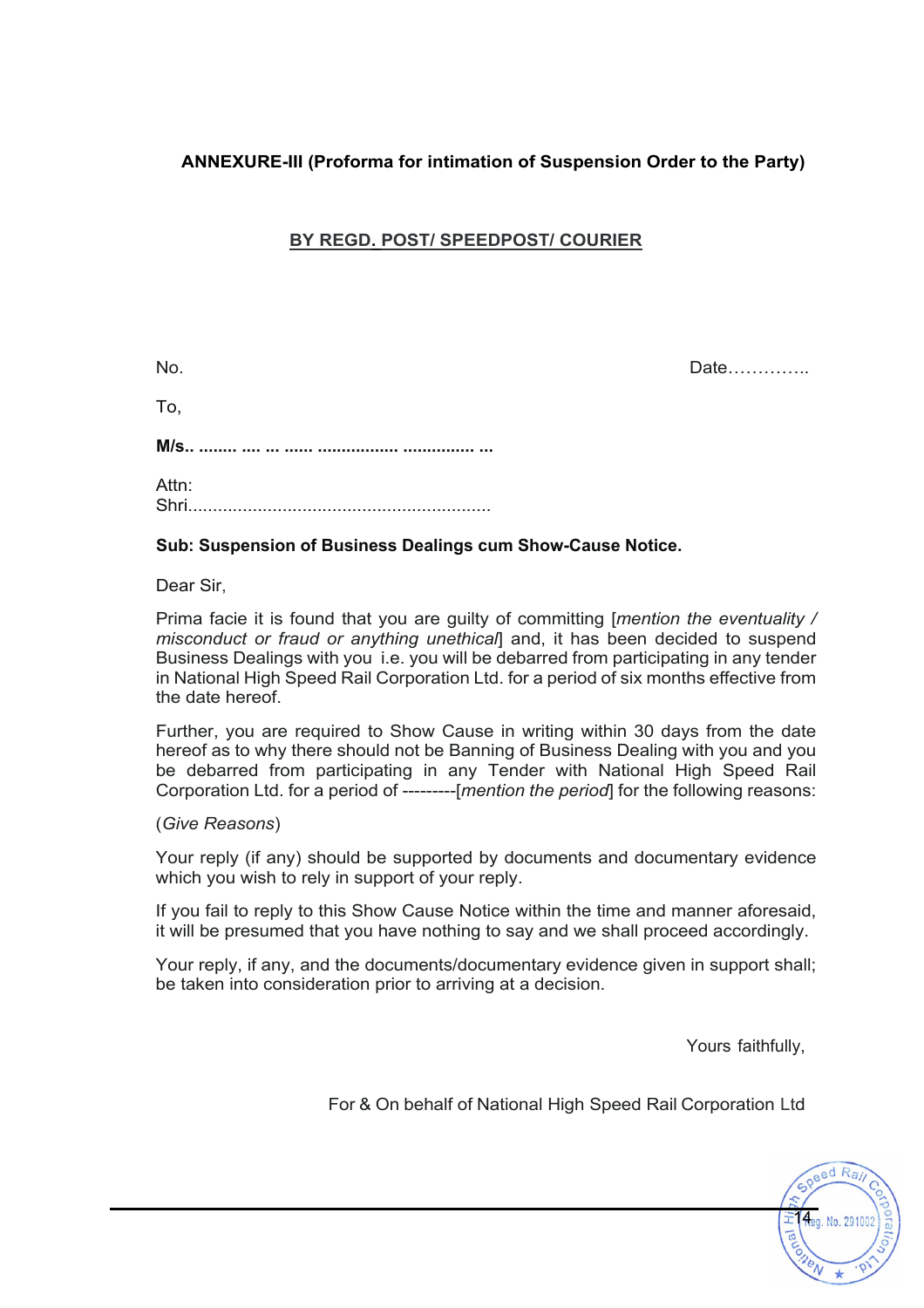## **ANNEXURE-III (Proforma for intimation of Suspension Order to the Party)**

## **BY REGD. POST/ SPEEDPOST/ COURIER**

No. Date…………..

To,

**M/s.. ........ .... ... ...... ................. ............... ...**

Attn: Shri.............................................................

### **Sub: Suspension of Business Dealings cum Show-Cause Notice.**

Dear Sir,

Prima facie it is found that you are guilty of committing [*mention the eventuality / misconduct or fraud or anything unethical*] and, it has been decided to suspend Business Dealings with you i.e. you will be debarred from participating in any tender in National High Speed Rail Corporation Ltd. for a period of six months effective from the date hereof.

Further, you are required to Show Cause in writing within 30 days from the date hereof as to why there should not be Banning of Business Dealing with you and you be debarred from participating in any Tender with National High Speed Rail Corporation Ltd. for a period of ---------[*mention the period*] for the following reasons:

(*Give Reasons*)

Your reply (if any) should be supported by documents and documentary evidence which you wish to rely in support of your reply.

If you fail to reply to this Show Cause Notice within the time and manner aforesaid, it will be presumed that you have nothing to say and we shall proceed accordingly.

Your reply, if any, and the documents/documentary evidence given in support shall; be taken into consideration prior to arriving at a decision.

Yours faithfully,

For & On behalf of National High Speed Rail Corporation Ltd

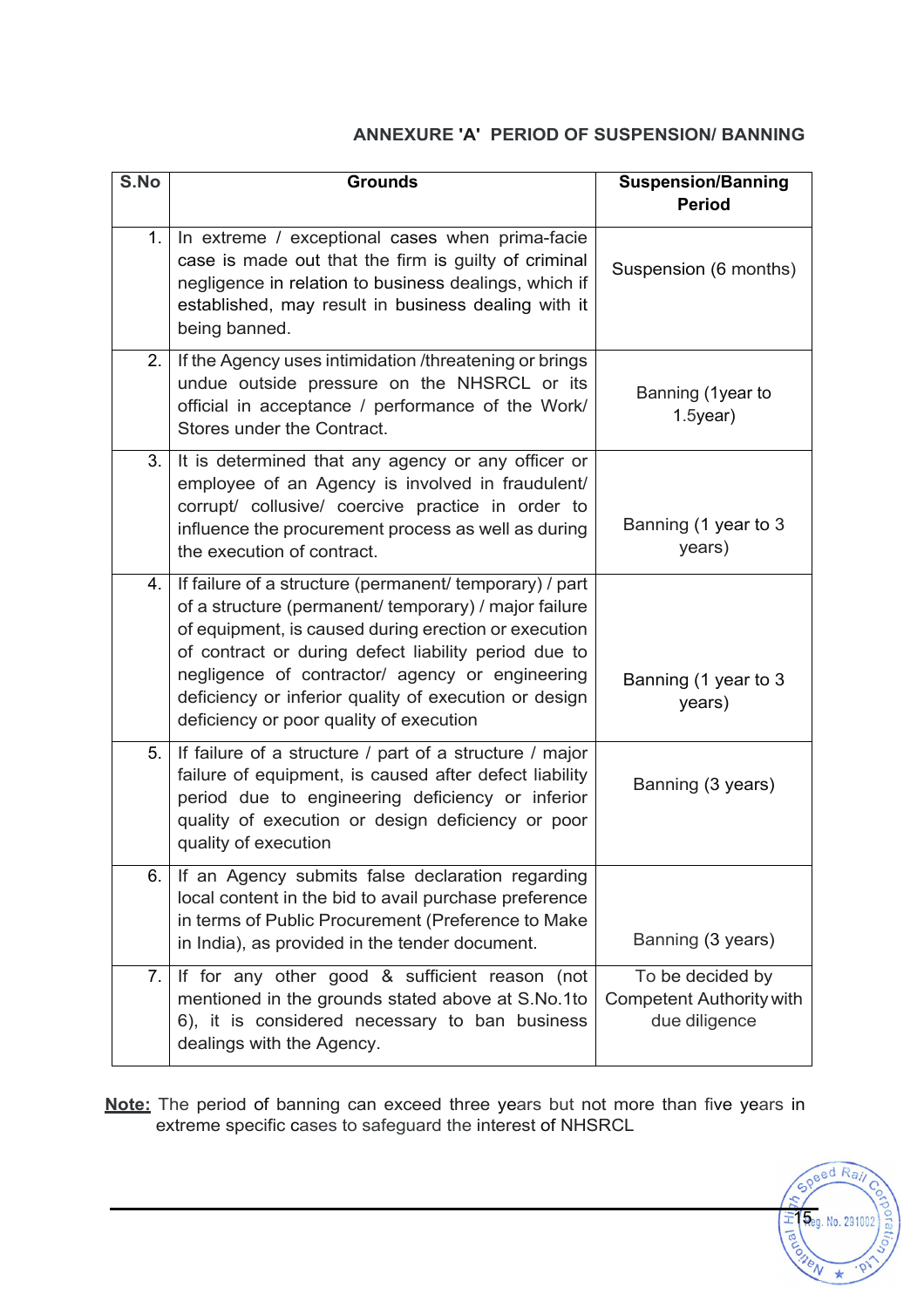## **ANNEXURE 'A' PERIOD OF SUSPENSION/ BANNING**

| S.No           | <b>Grounds</b>                                                                                                                                                                                                                                                                                                                                                                          | <b>Suspension/Banning</b><br><b>Period</b>                           |
|----------------|-----------------------------------------------------------------------------------------------------------------------------------------------------------------------------------------------------------------------------------------------------------------------------------------------------------------------------------------------------------------------------------------|----------------------------------------------------------------------|
| 1.             | In extreme / exceptional cases when prima-facie<br>case is made out that the firm is guilty of criminal<br>negligence in relation to business dealings, which if<br>established, may result in business dealing with it<br>being banned.                                                                                                                                                | Suspension (6 months)                                                |
| 2.             | If the Agency uses intimidation /threatening or brings<br>undue outside pressure on the NHSRCL or its<br>official in acceptance / performance of the Work/<br>Stores under the Contract.                                                                                                                                                                                                | Banning (1year to<br>$1.5$ year)                                     |
| 3 <sub>1</sub> | It is determined that any agency or any officer or<br>employee of an Agency is involved in fraudulent/<br>corrupt/ collusive/ coercive practice in order to<br>influence the procurement process as well as during<br>the execution of contract.                                                                                                                                        | Banning (1 year to 3<br>years)                                       |
| 4.             | If failure of a structure (permanent/ temporary) / part<br>of a structure (permanent/ temporary) / major failure<br>of equipment, is caused during erection or execution<br>of contract or during defect liability period due to<br>negligence of contractor/ agency or engineering<br>deficiency or inferior quality of execution or design<br>deficiency or poor quality of execution | Banning (1 year to 3<br>years)                                       |
| 5.             | If failure of a structure / part of a structure / major<br>failure of equipment, is caused after defect liability<br>period due to engineering deficiency or inferior<br>quality of execution or design deficiency or poor<br>quality of execution                                                                                                                                      | Banning (3 years)                                                    |
| 6.             | If an Agency submits false declaration regarding<br>local content in the bid to avail purchase preference<br>in terms of Public Procurement (Preference to Make<br>in India), as provided in the tender document.                                                                                                                                                                       | Banning (3 years)                                                    |
| 7.             | If for any other good & sufficient reason (not<br>mentioned in the grounds stated above at S.No.1to<br>6), it is considered necessary to ban business<br>dealings with the Agency.                                                                                                                                                                                                      | To be decided by<br><b>Competent Authority with</b><br>due diligence |

**Note:** The period of banning can exceed three years but not more than five years in extreme specific cases to safeguard the interest of NHSRCL